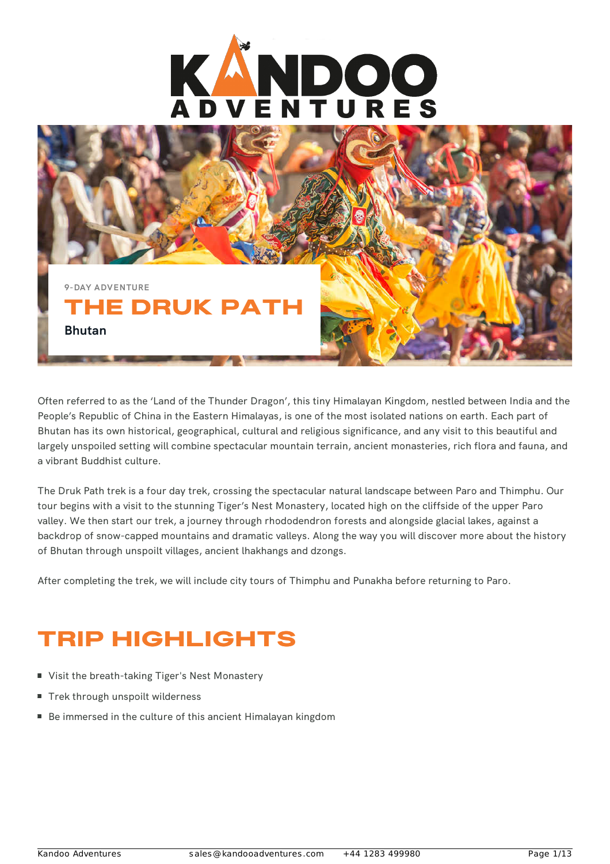



Often referred to as the 'Land of the Thunder Dragon', this tiny Himalayan Kingdom, nestled between India and the People's Republic of China in the Eastern Himalayas, is one of the most isolated nations on earth. Each part of Bhutan has its own historical, geographical, cultural and religious significance, and any visit to this beautiful and largely unspoiled setting will combine spectacular mountain terrain, ancient monasteries, rich flora and fauna, and a vibrant Buddhist culture.

The Druk Path trek is a four day trek, crossing the spectacular natural landscape between Paro and Thimphu. Our tour begins with a visit to the stunning Tiger's Nest Monastery, located high on the cliffside of the upper Paro valley. We then start our trek, a journey through rhododendron forests and alongside glacial lakes, against a backdrop of snow-capped mountains and dramatic valleys. Along the way you will discover more about the history of Bhutan through unspoilt villages, ancient lhakhangs and dzongs.

After completing the trek, we will include city tours of Thimphu and Punakha before returning to Paro.

## TRIP HIGHLIGHTS

- Visit the breath-taking Tiger's Nest Monastery
- Trek through unspoilt wilderness
- Be immersed in the culture of this ancient Himalayan kingdom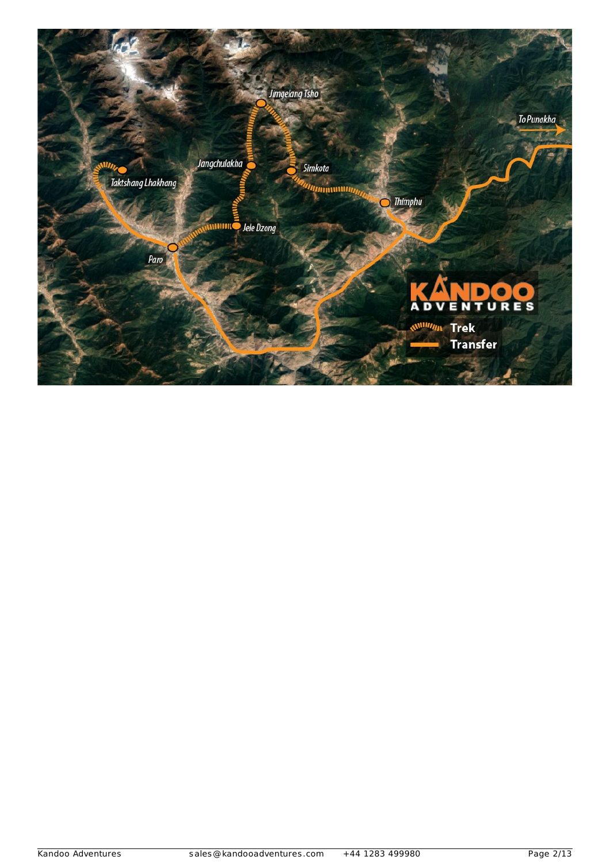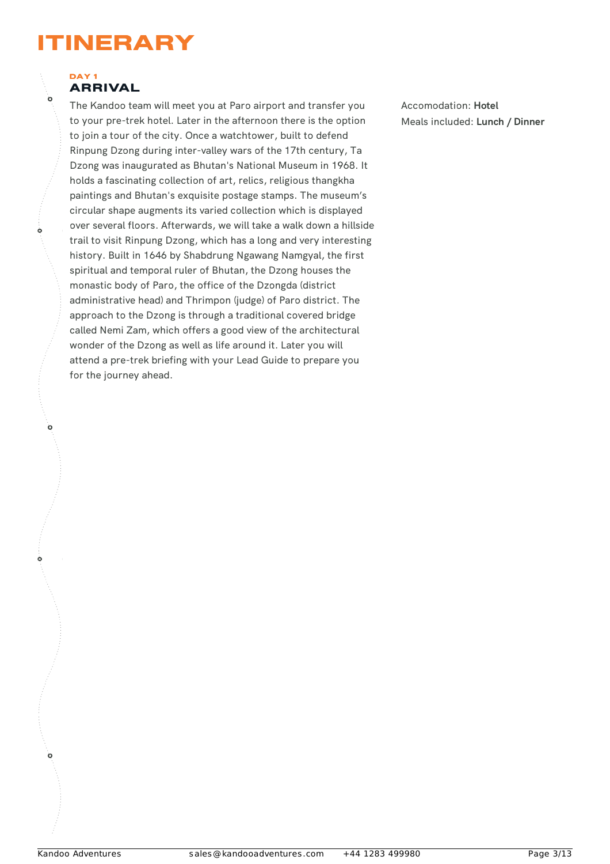## ITINERARY

#### DAY<sub>1</sub> ARRIVAL

Ò

Ò

Ò

The Kandoo team will meet you at Paro airport and transfer you to your pre-trek hotel. Later in the afternoon there is the option to join a tour of the city. Once a watchtower, built to defend Rinpung Dzong during inter-valley wars of the 17th century, Ta Dzong was inaugurated as Bhutan's National Museum in 1968. It holds a fascinating collection of art, relics, religious thangkha paintings and Bhutan's exquisite postage stamps. The museum's circular shape augments its varied collection which is displayed over several floors. Afterwards, we will take a walk down a hillside trail to visit Rinpung Dzong, which has a long and very interesting history. Built in 1646 by Shabdrung Ngawang Namgyal, the first spiritual and temporal ruler of Bhutan, the Dzong houses the monastic body of Paro, the office of the Dzongda (district administrative head) and Thrimpon (judge) of Paro district. The approach to the Dzong is through a traditional covered bridge called Nemi Zam, which offers a good view of the architectural wonder of the Dzong as well as life around it. Later you will attend a pre-trek briefing with your Lead Guide to prepare you for the journey ahead.

Accomodation: **Hotel** Meals included: **Lunch / Dinner**

 $\overline{0}$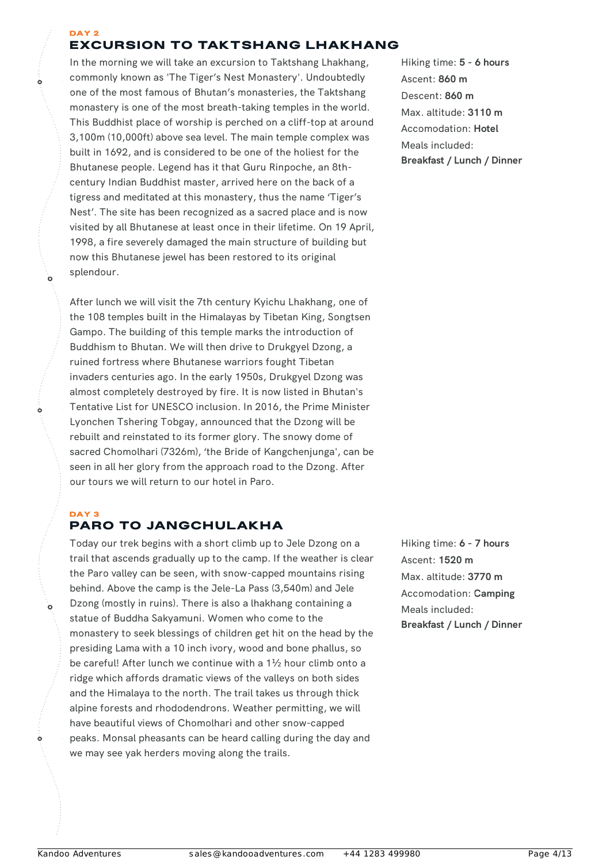#### DAY 2 EXCURSION TO TAKTSHANG LHAKHANG

In the morning we will take an excursion to Taktshang Lhakhang, commonly known as 'The Tiger's Nest Monastery'. Undoubtedly one of the most famous of Bhutan's monasteries, the Taktshang monastery is one of the most breath-taking temples in the world. This Buddhist place of worship is perched on a cliff-top at around 3,100m (10,000ft) above sea level. The main temple complex was built in 1692, and is considered to be one of the holiest for the Bhutanese people. Legend has it that Guru Rinpoche, an 8thcentury Indian Buddhist master, arrived here on the back of a tigress and meditated at this monastery, thus the name 'Tiger's Nest'. The site has been recognized as a sacred place and is now visited by all Bhutanese at least once in their lifetime. On 19 April, 1998, a fire severely damaged the main structure of building but now this Bhutanese jewel has been restored to its original splendour.

After lunch we will visit the 7th century Kyichu Lhakhang, one of the 108 temples built in the Himalayas by Tibetan King, Songtsen Gampo. The building of this temple marks the introduction of Buddhism to Bhutan. We will then drive to Drukgyel Dzong, a ruined fortress where Bhutanese warriors fought Tibetan invaders centuries ago. In the early 1950s, Drukgyel Dzong was almost completely destroyed by fire. It is now listed in Bhutan's Tentative List for UNESCO inclusion. In 2016, the Prime Minister Lyonchen Tshering Tobgay, announced that the Dzong will be rebuilt and reinstated to its former glory. The snowy dome of sacred Chomolhari (7326m), 'the Bride of Kangchenjunga', can be seen in all her glory from the approach road to the Dzong. After our tours we will return to our hotel in Paro.

## DAY 3

ò

## PARO TO JANGCHULAKHA

Today our trek begins with a short climb up to Jele Dzong on a trail that ascends gradually up to the camp. If the weather is clear the Paro valley can be seen, with snow-capped mountains rising behind. Above the camp is the Jele-La Pass (3,540m) and Jele Dzong (mostly in ruins). There is also a lhakhang containing a statue of Buddha Sakyamuni. Women who come to the monastery to seek blessings of children get hit on the head by the presiding Lama with a 10 inch ivory, wood and bone phallus, so be careful! After lunch we continue with a 1½ hour climb onto a ridge which affords dramatic views of the valleys on both sides and the Himalaya to the north. The trail takes us through thick alpine forests and rhododendrons. Weather permitting, we will have beautiful views of Chomolhari and other snow-capped peaks. Monsal pheasants can be heard calling during the day and we may see yak herders moving along the trails.

Hiking time: **5 - 6 hours** Ascent: **860 m** Descent: **860 m** Max. altitude: **3110 m** Accomodation: **Hotel** Meals included: **Breakfast / Lunch / Dinner**

Hiking time: **6 - 7 hours** Ascent: **1520 m** Max. altitude: **3770 m** Accomodation: **Camping** Meals included: **Breakfast / Lunch / Dinner**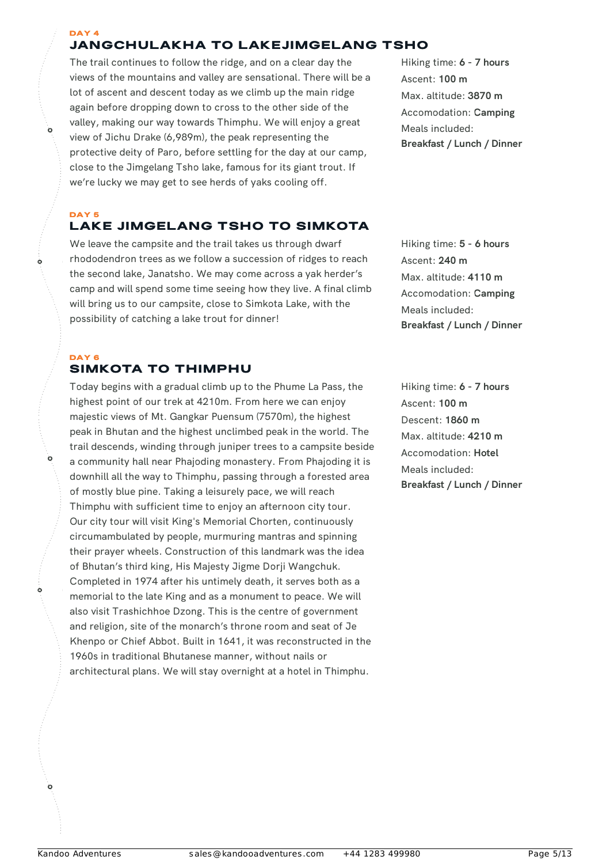#### DAY 4 JANGCHULAKHA TO LAKEJIMGELANG TSHO

The trail continues to follow the ridge, and on a clear day the views of the mountains and valley are sensational. There will be a lot of ascent and descent today as we climb up the main ridge again before dropping down to cross to the other side of the valley, making our way towards Thimphu. We will enjoy a great view of Jichu Drake (6,989m), the peak representing the protective deity of Paro, before settling for the day at our camp, close to the Jimgelang Tsho lake, famous for its giant trout. If we're lucky we may get to see herds of yaks cooling off.

Hiking time: **6 - 7 hours** Ascent: **100 m** Max. altitude: **3870 m** Accomodation: **Camping** Meals included: **Breakfast / Lunch / Dinner**

#### DAY<sub>5</sub> LAKE JIMGELANG TSHO TO SIMKOTA

We leave the campsite and the trail takes us through dwarf rhododendron trees as we follow a succession of ridges to reach the second lake, Janatsho. We may come across a yak herder's camp and will spend some time seeing how they live. A final climb will bring us to our campsite, close to Simkota Lake, with the possibility of catching a lake trout for dinner!

#### DAY 6 SIMKOTA TO THIMPHU

Ò

Today begins with a gradual climb up to the Phume La Pass, the highest point of our trek at 4210m. From here we can enjoy majestic views of Mt. Gangkar Puensum (7570m), the highest peak in Bhutan and the highest unclimbed peak in the world. The trail descends, winding through juniper trees to a campsite beside a community hall near Phajoding monastery. From Phajoding it is downhill all the way to Thimphu, passing through a forested area of mostly blue pine. Taking a leisurely pace, we will reach Thimphu with sufficient time to enjoy an afternoon city tour. Our city tour will visit King's Memorial Chorten, continuously circumambulated by people, murmuring mantras and spinning their prayer wheels. Construction of this landmark was the idea of Bhutan's third king, His Majesty Jigme Dorji Wangchuk. Completed in 1974 after his untimely death, it serves both as a memorial to the late King and as a monument to peace. We will also visit Trashichhoe Dzong. This is the centre of government and religion, site of the monarch's throne room and seat of Je Khenpo or Chief Abbot. Built in 1641, it was reconstructed in the 1960s in traditional Bhutanese manner, without nails or architectural plans. We will stay overnight at a hotel in Thimphu.

Hiking time: **5 - 6 hours** Ascent: **240 m** Max. altitude: **4110 m** Accomodation: **Camping** Meals included: **Breakfast / Lunch / Dinner**

Hiking time: **6 - 7 hours** Ascent: **100 m** Descent: **1860 m** Max. altitude: **4210 m** Accomodation: **Hotel** Meals included: **Breakfast / Lunch / Dinner**

 $\ddot{\mathbf{o}}$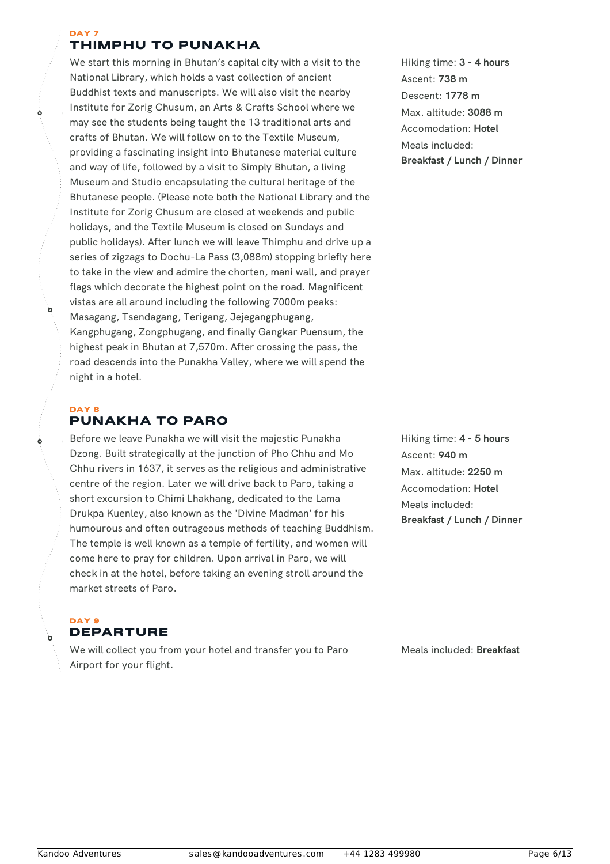#### DAY 7 THIMPHU TO PUNAKHA

We start this morning in Bhutan's capital city with a visit to the National Library, which holds a vast collection of ancient Buddhist texts and manuscripts. We will also visit the nearby Institute for Zorig Chusum, an Arts & Crafts School where we may see the students being taught the 13 traditional arts and crafts of Bhutan. We will follow on to the Textile Museum, providing a fascinating insight into Bhutanese material culture and way of life, followed by a visit to Simply Bhutan, a living Museum and Studio encapsulating the cultural heritage of the Bhutanese people. (Please note both the National Library and the Institute for Zorig Chusum are closed at weekends and public holidays, and the Textile Museum is closed on Sundays and public holidays). After lunch we will leave Thimphu and drive up a series of zigzags to Dochu-La Pass (3,088m) stopping briefly here to take in the view and admire the chorten, mani wall, and prayer flags which decorate the highest point on the road. Magnificent vistas are all around including the following 7000m peaks: Masagang, Tsendagang, Terigang, Jejegangphugang, Kangphugang, Zongphugang, and finally Gangkar Puensum, the highest peak in Bhutan at 7,570m. After crossing the pass, the road descends into the Punakha Valley, where we will spend the night in a hotel.

#### DAY 8 PUNAKHA TO PARO

Ò

Before we leave Punakha we will visit the majestic Punakha Dzong. Built strategically at the junction of Pho Chhu and Mo Chhu rivers in 1637, it serves as the religious and administrative centre of the region. Later we will drive back to Paro, taking a short excursion to Chimi Lhakhang, dedicated to the Lama Drukpa Kuenley, also known as the 'Divine Madman' for his humourous and often outrageous methods of teaching Buddhism. The temple is well known as a temple of fertility, and women will come here to pray for children. Upon arrival in Paro, we will check in at the hotel, before taking an evening stroll around the market streets of Paro.

DAY 9 DEPARTURE

We will collect you from your hotel and transfer you to Paro Airport for your flight.

Hiking time: **3 - 4 hours** Ascent: **738 m** Descent: **1778 m** Max. altitude: **3088 m** Accomodation: **Hotel** Meals included: **Breakfast / Lunch / Dinner**

Hiking time: **4 - 5 hours** Ascent: **940 m** Max. altitude: **2250 m** Accomodation: **Hotel** Meals included: **Breakfast / Lunch / Dinner**

Meals included: **Breakfast**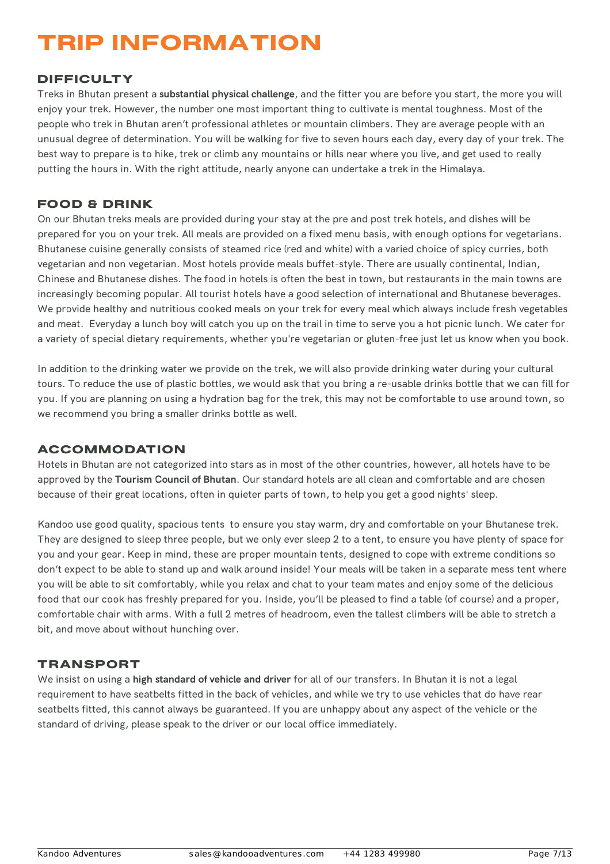# TRIP INFORMATION

## DIFFICULTY

Treks in Bhutan present a **substantial physical challenge**, and the fitter you are before you start, the more you will enjoy your trek. However, the number one most important thing to cultivate is mental toughness. Most of the people who trek in Bhutan aren't professional athletes or mountain climbers. They are average people with an unusual degree of determination. You will be walking for five to seven hours each day, every day of your trek. The best way to prepare is to hike, trek or climb any mountains or hills near where you live, and get used to really putting the hours in. With the right attitude, nearly anyone can undertake a trek in the Himalaya.

## FOOD & DRINK

On our Bhutan treks meals are provided during your stay at the pre and post trek hotels, and dishes will be prepared for you on your trek. All meals are provided on a fixed menu basis, with enough options for vegetarians. Bhutanese cuisine generally consists of steamed rice (red and white) with a varied choice of spicy curries, both vegetarian and non vegetarian. Most hotels provide meals buffet‐style. There are usually continental, Indian, Chinese and Bhutanese dishes. The food in hotels is often the best in town, but restaurants in the main towns are increasingly becoming popular. All tourist hotels have a good selection of international and Bhutanese beverages. We provide healthy and nutritious cooked meals on your trek for every meal which always include fresh vegetables and meat. Everyday a lunch boy will catch you up on the trail in time to serve you a hot picnic lunch. We cater for a variety of special dietary requirements, whether you're vegetarian or gluten-free just let us know when you book.

In addition to the drinking water we provide on the trek, we will also provide drinking water during your cultural tours. To reduce the use of plastic bottles, we would ask that you bring a re-usable drinks bottle that we can fill for you. If you are planning on using a hydration bag for the trek, this may not be comfortable to use around town, so we recommend you bring a smaller drinks bottle as well.

### **ACCOMMODATION**

Hotels in Bhutan are not categorized into stars as in most of the other countries, however, all hotels have to be approved by the **Tourism Council of Bhutan**. Our standard hotels are all clean and comfortable and are chosen because of their great locations, often in quieter parts of town, to help you get a good nights' sleep.

Kandoo use good quality, spacious tents to ensure you stay warm, dry and comfortable on your Bhutanese trek. They are designed to sleep three people, but we only ever sleep 2 to a tent, to ensure you have plenty of space for you and your gear. Keep in mind, these are proper mountain tents, designed to cope with extreme conditions so don't expect to be able to stand up and walk around inside! Your meals will be taken in a separate mess tent where you will be able to sit comfortably, while you relax and chat to your team mates and enjoy some of the delicious food that our cook has freshly prepared for you. Inside, you'll be pleased to find a table (of course) and a proper, comfortable chair with arms. With a full 2 metres of headroom, even the tallest climbers will be able to stretch a bit, and move about without hunching over.

### TRANSPORT

We insist on using a **high standard of vehicle and driver** for all of our transfers. In Bhutan it is not a legal requirement to have seatbelts fitted in the back of vehicles, and while we try to use vehicles that do have rear seatbelts fitted, this cannot always be guaranteed. If you are unhappy about any aspect of the vehicle or the standard of driving, please speak to the driver or our local office immediately.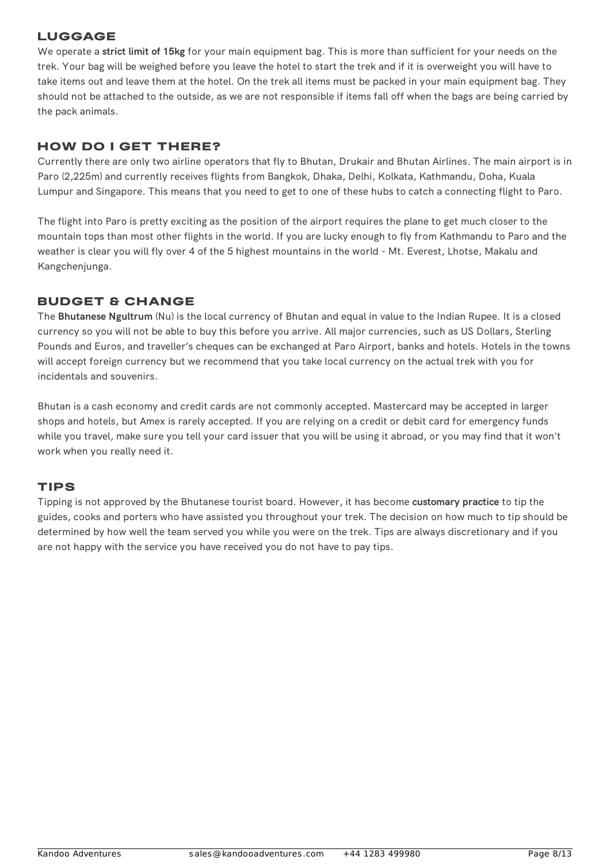## LUGGAGE

We operate a **strict limit of 15kg** for your main equipment bag. This is more than sufficient for your needs on the trek. Your bag will be weighed before you leave the hotel to start the trek and if it is overweight you will have to take items out and leave them at the hotel. On the trek all items must be packed in your main equipment bag. They should not be attached to the outside, as we are not responsible if items fall off when the bags are being carried by the pack animals.

## HOW DO I GET THERE?

Currently there are only two airline operators that fly to Bhutan, Drukair and Bhutan Airlines. The main airport is in Paro (2,225m) and currently receives flights from Bangkok, Dhaka, Delhi, Kolkata, Kathmandu, Doha, Kuala Lumpur and Singapore. This means that you need to get to one of these hubs to catch a connecting flight to Paro.

The flight into Paro is pretty exciting as the position of the airport requires the plane to get much closer to the mountain tops than most other flights in the world. If you are lucky enough to fly from Kathmandu to Paro and the weather is clear you will fly over 4 of the 5 highest mountains in the world - Mt. Everest, Lhotse, Makalu and Kangchenjunga.

## BUDGET & CHANGE

The **Bhutanese Ngultrum** (Nu) is the local currency of Bhutan and equal in value to the Indian Rupee. It is a closed currency so you will not be able to buy this before you arrive. All major currencies, such as US Dollars, Sterling Pounds and Euros, and traveller's cheques can be exchanged at Paro Airport, banks and hotels. Hotels in the towns will accept foreign currency but we recommend that you take local currency on the actual trek with you for incidentals and souvenirs.

Bhutan is a cash economy and credit cards are not commonly accepted. Mastercard may be accepted in larger shops and hotels, but Amex is rarely accepted. If you are relying on a credit or debit card for emergency funds while you travel, make sure you tell your card issuer that you will be using it abroad, or you may find that it won't work when you really need it.

### TIPS

Tipping is not approved by the Bhutanese tourist board. However, it has become **customary practice** to tip the guides, cooks and porters who have assisted you throughout your trek. The decision on how much to tip should be determined by how well the team served you while you were on the trek. Tips are always discretionary and if you are not happy with the service you have received you do not have to pay tips.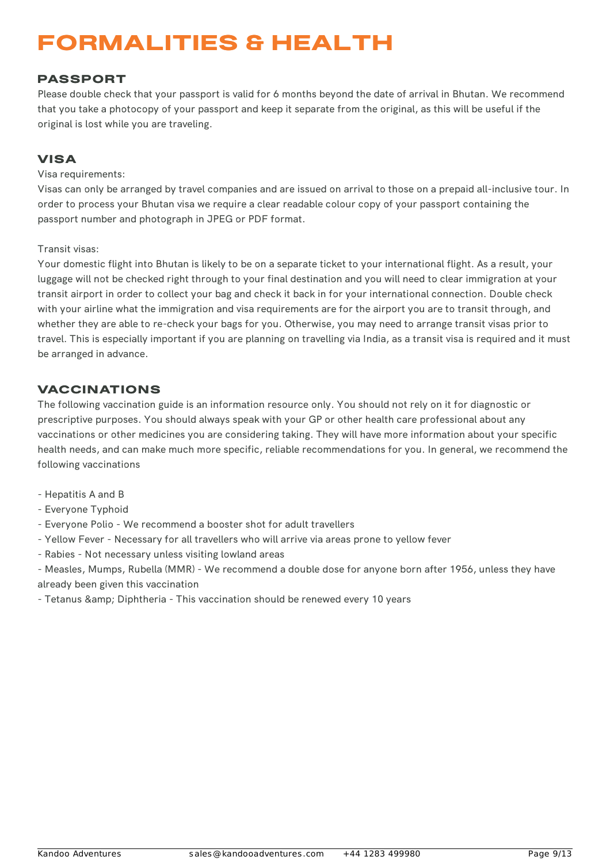# FORMALITIES & HEALTH

## PASSPORT

Please double check that your passport is valid for 6 months beyond the date of arrival in Bhutan. We recommend that you take a photocopy of your passport and keep it separate from the original, as this will be useful if the original is lost while you are traveling.

## VISA

#### Visa requirements:

Visas can only be arranged by travel companies and are issued on arrival to those on a prepaid all-inclusive tour. In order to process your Bhutan visa we require a clear readable colour copy of your passport containing the passport number and photograph in JPEG or PDF format.

#### Transit visas:

Your domestic flight into Bhutan is likely to be on a separate ticket to your international flight. As a result, your luggage will not be checked right through to your final destination and you will need to clear immigration at your transit airport in order to collect your bag and check it back in for your international connection. Double check with your airline what the immigration and visa requirements are for the airport you are to transit through, and whether they are able to re-check your bags for you. Otherwise, you may need to arrange transit visas prior to travel. This is especially important if you are planning on travelling via India, as a transit visa is required and it must be arranged in advance.

## VACCINATIONS

The following vaccination guide is an information resource only. You should not rely on it for diagnostic or prescriptive purposes. You should always speak with your GP or other health care professional about any vaccinations or other medicines you are considering taking. They will have more information about your specific health needs, and can make much more specific, reliable recommendations for you. In general, we recommend the following vaccinations

- Hepatitis A and B
- Everyone Typhoid
- Everyone Polio We recommend a booster shot for adult travellers
- Yellow Fever Necessary for all travellers who will arrive via areas prone to yellow fever
- Rabies Not necessary unless visiting lowland areas

- Measles, Mumps, Rubella (MMR) - We recommend a double dose for anyone born after 1956, unless they have already been given this vaccination

- Tetanus & amp; Diphtheria - This vaccination should be renewed every 10 years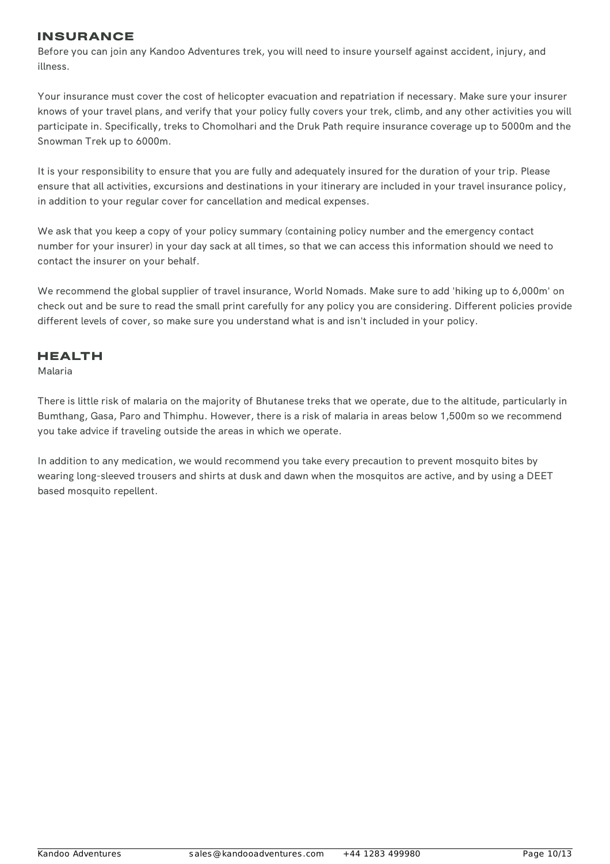### INSURANCE

Before you can join any Kandoo Adventures trek, you will need to insure yourself against accident, injury, and illness.

Your insurance must cover the cost of helicopter evacuation and repatriation if necessary. Make sure your insurer knows of your travel plans, and verify that your policy fully covers your trek, climb, and any other activities you will participate in. Specifically, treks to Chomolhari and the Druk Path require insurance coverage up to 5000m and the Snowman Trek up to 6000m.

It is your responsibility to ensure that you are fully and adequately insured for the duration of your trip. Please ensure that all activities, excursions and destinations in your itinerary are included in your travel insurance policy, in addition to your regular cover for cancellation and medical expenses.

We ask that you keep a copy of your policy summary (containing policy number and the emergency contact number for your insurer) in your day sack at all times, so that we can access this information should we need to contact the insurer on your behalf.

We recommend the global supplier of travel insurance, World Nomads. Make sure to add 'hiking up to 6,000m' on check out and be sure to read the small print carefully for any policy you are considering. Different policies provide different levels of cover, so make sure you understand what is and isn't included in your policy.

## HEALTH

Malaria

There is little risk of malaria on the majority of Bhutanese treks that we operate, due to the altitude, particularly in Bumthang, Gasa, Paro and Thimphu. However, there is a risk of malaria in areas below 1,500m so we recommend you take advice if traveling outside the areas in which we operate.

In addition to any medication, we would recommend you take every precaution to prevent mosquito bites by wearing long-sleeved trousers and shirts at dusk and dawn when the mosquitos are active, and by using a DEET based mosquito repellent.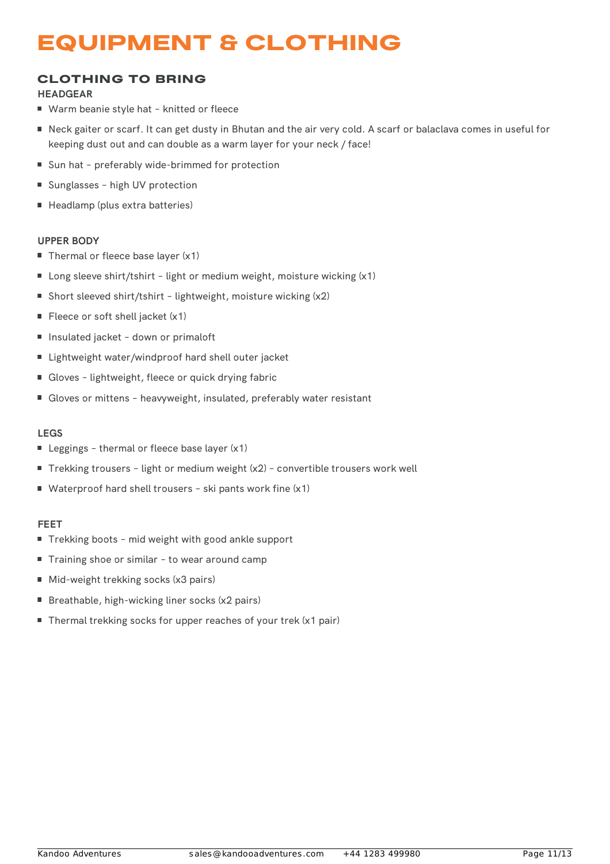## EQUIPMENT & CLOTHING

## CLOTHING TO BRING

#### **HEADGEAR**

- Warm beanie style hat knitted or fleece
- Neck gaiter or scarf. It can get dusty in Bhutan and the air very cold. A scarf or balaclava comes in useful for keeping dust out and can double as a warm layer for your neck / face!
- Sun hat preferably wide-brimmed for protection
- Sunglasses high UV protection
- Headlamp (plus extra batteries)

#### **UPPER BODY**

- Thermal or fleece base layer (x1)
- Long sleeve shirt/tshirt light or medium weight, moisture wicking (x1)
- Short sleeved shirt/tshirt lightweight, moisture wicking (x2)
- Fleece or soft shell jacket (x1)
- Insulated jacket down or primaloft
- Lightweight water/windproof hard shell outer jacket
- Gloves lightweight, fleece or quick drying fabric
- Gloves or mittens heavyweight, insulated, preferably water resistant

#### **LEGS**

- Leggings thermal or fleece base layer  $(x1)$
- Trekking trousers light or medium weight (x2) convertible trousers work well
- Waterproof hard shell trousers ski pants work fine (x1)

#### **FEET**

- Trekking boots mid weight with good ankle support
- Training shoe or similar to wear around camp
- Mid-weight trekking socks (x3 pairs)
- Breathable, high-wicking liner socks (x2 pairs)
- Thermal trekking socks for upper reaches of your trek (x1 pair)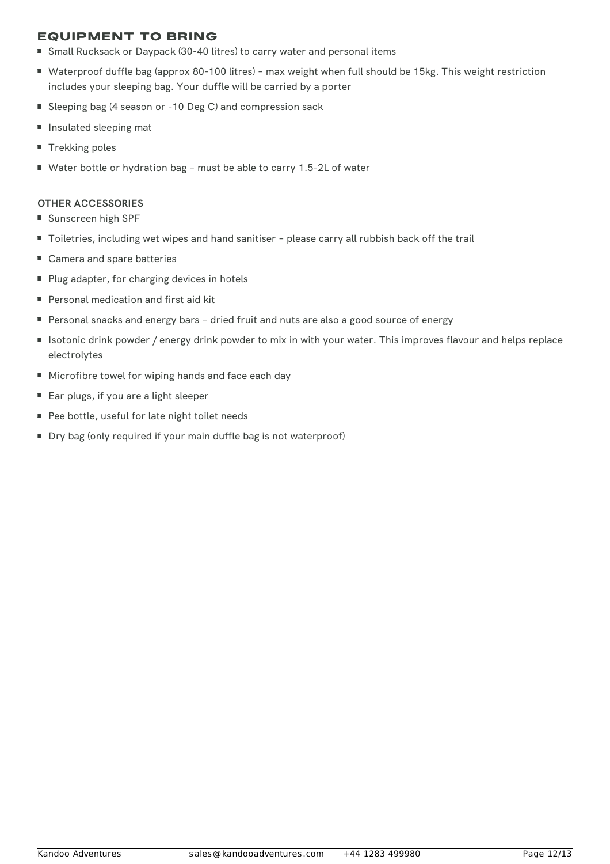## EQUIPMENT TO BRING

- Small Rucksack or Daypack (30-40 litres) to carry water and personal items
- Waterproof duffle bag (approx 80-100 litres) max weight when full should be 15kg. This weight restriction includes your sleeping bag. Your duffle will be carried by a porter
- Sleeping bag (4 season or -10 Deg C) and compression sack
- Insulated sleeping mat
- Trekking poles
- Water bottle or hydration bag must be able to carry 1.5-2L of water

#### **OTHER ACCESSORIES**

- Sunscreen high SPF
- Toiletries, including wet wipes and hand sanitiser please carry all rubbish back off the trail
- Camera and spare batteries
- Plug adapter, for charging devices in hotels
- **Personal medication and first aid kit**
- Personal snacks and energy bars dried fruit and nuts are also a good source of energy
- Isotonic drink powder / energy drink powder to mix in with your water. This improves flavour and helps replace electrolytes
- **Microfibre towel for wiping hands and face each day**
- Ear plugs, if you are a light sleeper
- Pee bottle, useful for late night toilet needs
- Dry bag (only required if your main duffle bag is not waterproof)